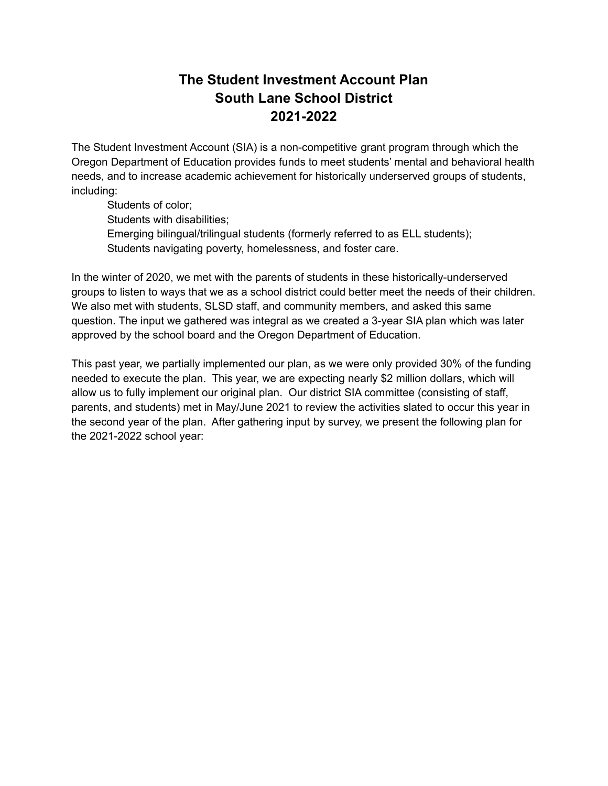## **The Student Investment Account Plan South Lane School District 2021-2022**

The Student Investment Account (SIA) is a non-competitive grant program through which the Oregon Department of Education provides funds to meet students' mental and behavioral health needs, and to increase academic achievement for historically underserved groups of students, including:

Students of color; Students with disabilities; Emerging bilingual/trilingual students (formerly referred to as ELL students); Students navigating poverty, homelessness, and foster care.

In the winter of 2020, we met with the parents of students in these historically-underserved groups to listen to ways that we as a school district could better meet the needs of their children. We also met with students, SLSD staff, and community members, and asked this same question. The input we gathered was integral as we created a 3-year SIA plan which was later approved by the school board and the Oregon Department of Education.

This past year, we partially implemented our plan, as we were only provided 30% of the funding needed to execute the plan. This year, we are expecting nearly \$2 million dollars, which will allow us to fully implement our original plan. Our district SIA committee (consisting of staff, parents, and students) met in May/June 2021 to review the activities slated to occur this year in the second year of the plan. After gathering input by survey, we present the following plan for the 2021-2022 school year: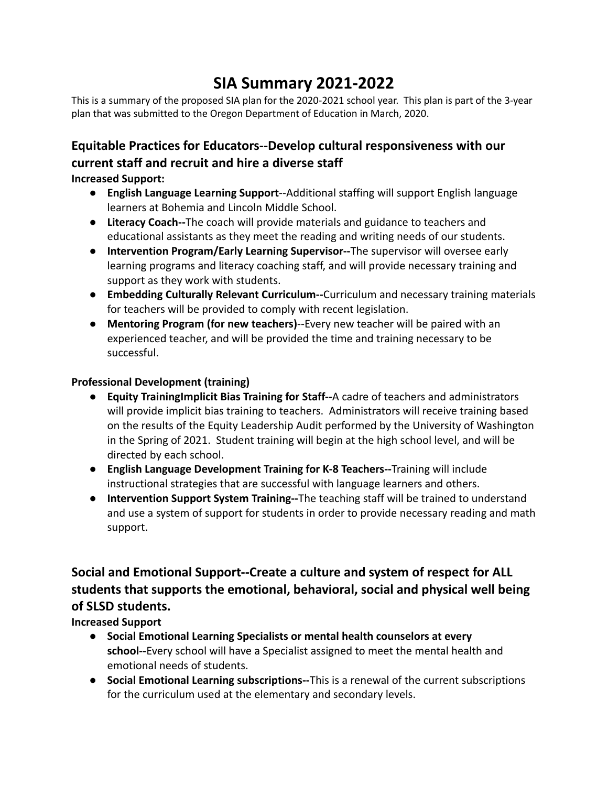# **SIA Summary 2021-2022**

This is a summary of the proposed SIA plan for the 2020-2021 school year. This plan is part of the 3-year plan that was submitted to the Oregon Department of Education in March, 2020.

# **Equitable Practices for Educators--Develop cultural responsiveness with our current staff and recruit and hire a diverse staff**

**Increased Support:**

- **English Language Learning Support**--Additional staffing will support English language learners at Bohemia and Lincoln Middle School.
- **Literacy Coach--**The coach will provide materials and guidance to teachers and educational assistants as they meet the reading and writing needs of our students.
- **Intervention Program/Early Learning Supervisor--**The supervisor will oversee early learning programs and literacy coaching staff, and will provide necessary training and support as they work with students.
- **Embedding Culturally Relevant Curriculum--**Curriculum and necessary training materials for teachers will be provided to comply with recent legislation.
- **Mentoring Program (for new teachers)**--Every new teacher will be paired with an experienced teacher, and will be provided the time and training necessary to be successful.

#### **Professional Development (training)**

- **● Equity TrainingImplicit Bias Training for Staff--**A cadre of teachers and administrators will provide implicit bias training to teachers. Administrators will receive training based on the results of the Equity Leadership Audit performed by the University of Washington in the Spring of 2021. Student training will begin at the high school level, and will be directed by each school.
- **● English Language Development Training for K-8 Teachers--**Training will include instructional strategies that are successful with language learners and others.
- **● Intervention Support System Training--**The teaching staff will be trained to understand and use a system of support for students in order to provide necessary reading and math support.

# **Social and Emotional Support--Create a culture and system of respect for ALL students that supports the emotional, behavioral, social and physical well being of SLSD students.**

### **Increased Support**

- **● Social Emotional Learning Specialists or mental health counselors at every school--**Every school will have a Specialist assigned to meet the mental health and emotional needs of students.
- **● Social Emotional Learning subscriptions--**This is a renewal of the current subscriptions for the curriculum used at the elementary and secondary levels.